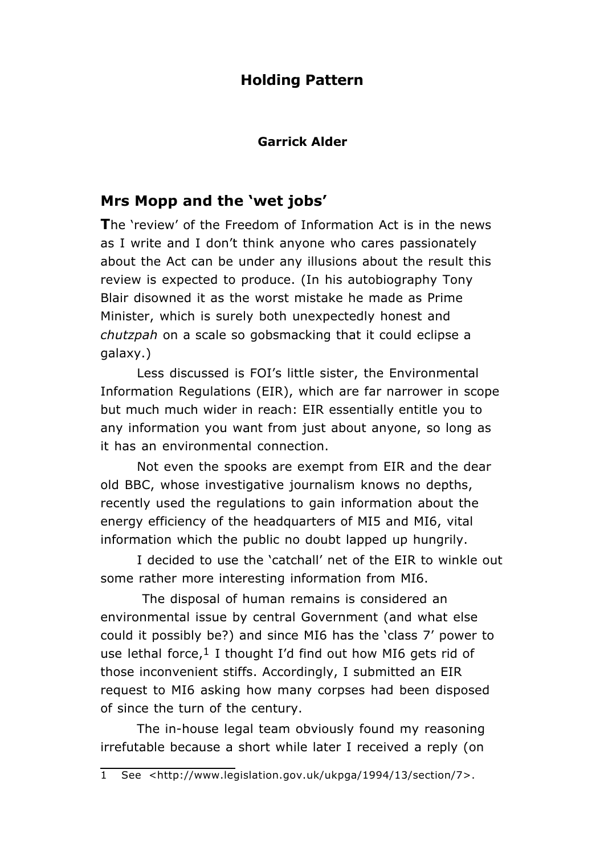# **Holding Pattern**

#### **Garrick Alder**

## **Mrs Mopp and the 'wet jobs'**

**T**he 'review' of the Freedom of Information Act is in the news as I write and I don't think anyone who cares passionately about the Act can be under any illusions about the result this review is expected to produce. (In his autobiography Tony Blair disowned it as the worst mistake he made as Prime Minister, which is surely both unexpectedly honest and *chutzpah* on a scale so gobsmacking that it could eclipse a galaxy.)

Less discussed is FOI's little sister, the Environmental Information Regulations (EIR), which are far narrower in scope but much much wider in reach: EIR essentially entitle you to any information you want from just about anyone, so long as it has an environmental connection.

Not even the spooks are exempt from EIR and the dear old BBC, whose investigative journalism knows no depths, recently used the regulations to gain information about the energy efficiency of the headquarters of MI5 and MI6, vital information which the public no doubt lapped up hungrily.

I decided to use the 'catchall' net of the EIR to winkle out some rather more interesting information from MI6.

The disposal of human remains is considered an environmental issue by central Government (and what else could it possibly be?) and since MI6 has the 'class 7' power to use lethal force, $1$  I thought I'd find out how MI6 gets rid of those inconvenient stiffs. Accordingly, I submitted an EIR request to MI6 asking how many corpses had been disposed of since the turn of the century.

The in-house legal team obviously found my reasoning irrefutable because a short while later I received a reply (on

<sup>1</sup> See <http://www.legislation.gov.uk/ukpga/1994/13/section/7>.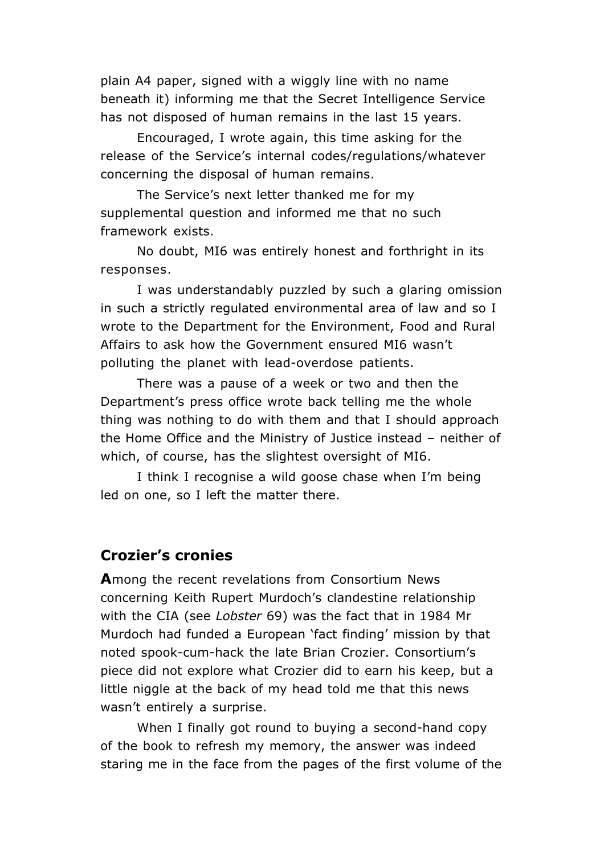plain A4 paper, signed with a wiggly line with no name beneath it) informing me that the Secret Intelligence Service has not disposed of human remains in the last 15 years.

Encouraged, I wrote again, this time asking for the release of the Service's internal codes/regulations/whatever concerning the disposal of human remains.

The Service's next letter thanked me for my supplemental question and informed me that no such framework exists.

No doubt, MI6 was entirely honest and forthright in its responses.

I was understandably puzzled by such a glaring omission in such a strictly regulated environmental area of law and so I wrote to the Department for the Environment, Food and Rural Affairs to ask how the Government ensured MI6 wasn't polluting the planet with lead-overdose patients.

There was a pause of a week or two and then the Department's press office wrote back telling me the whole thing was nothing to do with them and that I should approach the Home Office and the Ministry of Justice instead – neither of which, of course, has the slightest oversight of MI6.

I think I recognise a wild goose chase when I'm being led on one, so I left the matter there.

#### **Crozier's cronies**

**A**mong the recent revelations from Consortium News concerning Keith Rupert Murdoch's clandestine relationship with the CIA (see *Lobster* 69) was the fact that in 1984 Mr Murdoch had funded a European 'fact finding' mission by that noted spook-cum-hack the late Brian Crozier. Consortium's piece did not explore what Crozier did to earn his keep, but a little niggle at the back of my head told me that this news wasn't entirely a surprise.

When I finally got round to buying a second-hand copy of the book to refresh my memory, the answer was indeed staring me in the face from the pages of the first volume of the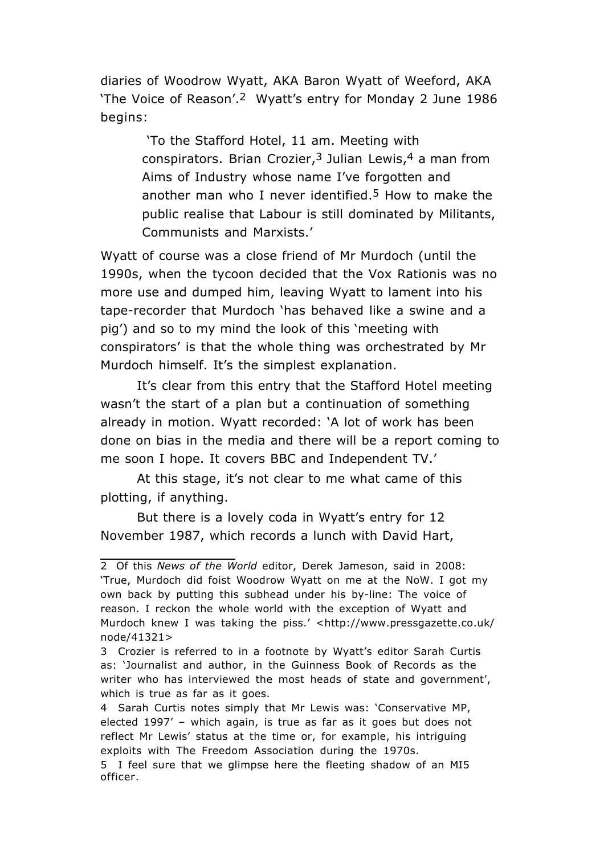diaries of Woodrow Wyatt, AKA Baron Wyatt of Weeford, AKA 'The Voice of Reason'.2 Wyatt's entry for Monday 2 June 1986 begins:

> 'To the Stafford Hotel, 11 am. Meeting with conspirators. Brian Crozier,  $3$  Julian Lewis,  $4$  a man from Aims of Industry whose name I've forgotten and another man who I never identified.<sup>5</sup> How to make the public realise that Labour is still dominated by Militants, Communists and Marxists.'

Wyatt of course was a close friend of Mr Murdoch (until the 1990s, when the tycoon decided that the Vox Rationis was no more use and dumped him, leaving Wyatt to lament into his tape-recorder that Murdoch 'has behaved like a swine and a pig') and so to my mind the look of this 'meeting with conspirators' is that the whole thing was orchestrated by Mr Murdoch himself. It's the simplest explanation.

It's clear from this entry that the Stafford Hotel meeting wasn't the start of a plan but a continuation of something already in motion. Wyatt recorded: 'A lot of work has been done on bias in the media and there will be a report coming to me soon I hope. It covers BBC and Independent TV.'

At this stage, it's not clear to me what came of this plotting, if anything.

But there is a lovely coda in Wyatt's entry for 12 November 1987, which records a lunch with David Hart,

<sup>2</sup> Of this *News of the World* editor, Derek Jameson, said in 2008: 'True, Murdoch did foist Woodrow Wyatt on me at the NoW. I got my own back by putting this subhead under his by-line: The voice of reason. I reckon the whole world with the exception of Wyatt and Murdoch knew I was taking the piss.' <http://www.pressgazette.co.uk/ node/41321>

<sup>3</sup> Crozier is referred to in a footnote by Wyatt's editor Sarah Curtis as: 'Journalist and author, in the Guinness Book of Records as the writer who has interviewed the most heads of state and government', which is true as far as it goes.

<sup>4</sup> Sarah Curtis notes simply that Mr Lewis was: 'Conservative MP, elected 1997' – which again, is true as far as it goes but does not reflect Mr Lewis' status at the time or, for example, his intriguing exploits with The Freedom Association during the 1970s.

<sup>5</sup> I feel sure that we glimpse here the fleeting shadow of an MI5 officer.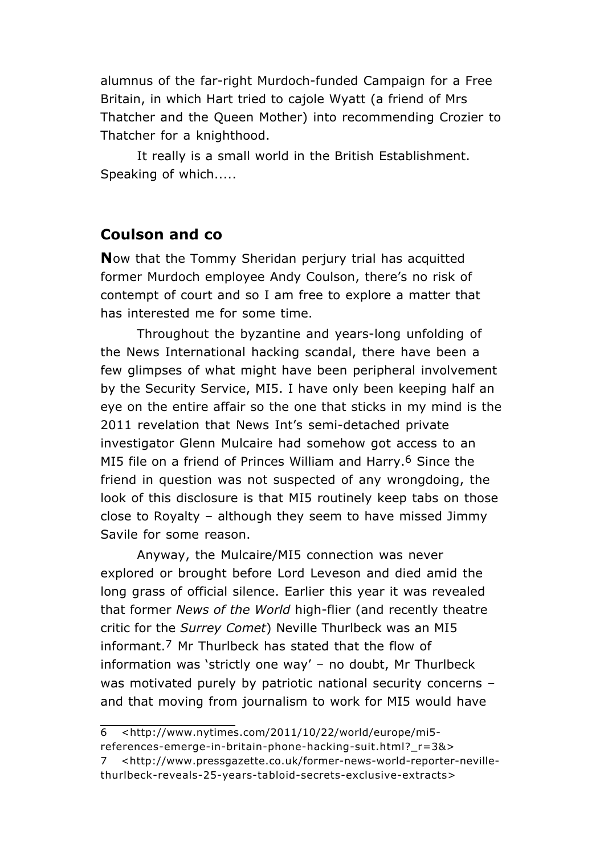alumnus of the far-right Murdoch-funded Campaign for a Free Britain, in which Hart tried to cajole Wyatt (a friend of Mrs Thatcher and the Queen Mother) into recommending Crozier to Thatcher for a knighthood.

It really is a small world in the British Establishment. Speaking of which.....

### **Coulson and co**

**N**ow that the Tommy Sheridan perjury trial has acquitted former Murdoch employee Andy Coulson, there's no risk of contempt of court and so I am free to explore a matter that has interested me for some time.

Throughout the byzantine and years-long unfolding of the News International hacking scandal, there have been a few glimpses of what might have been peripheral involvement by the Security Service, MI5. I have only been keeping half an eye on the entire affair so the one that sticks in my mind is the 2011 revelation that News Int's semi-detached private investigator Glenn Mulcaire had somehow got access to an MI5 file on a friend of Princes William and Harry.<sup>6</sup> Since the friend in question was not suspected of any wrongdoing, the look of this disclosure is that MI5 routinely keep tabs on those close to Royalty – although they seem to have missed Jimmy Savile for some reason.

Anyway, the Mulcaire/MI5 connection was never explored or brought before Lord Leveson and died amid the long grass of official silence. Earlier this year it was revealed that former *News of the World* high-flier (and recently theatre critic for the *Surrey Comet*) Neville Thurlbeck was an MI5 informant.7 Mr Thurlbeck has stated that the flow of information was 'strictly one way' – no doubt, Mr Thurlbeck was motivated purely by patriotic national security concerns – and that moving from journalism to work for MI5 would have

<sup>6 &</sup>lt;http://www.nytimes.com/2011/10/22/world/europe/mi5 references-emerge-in-britain-phone-hacking-suit.html?\_r=3&>

<sup>7 &</sup>lt;http://www.pressgazette.co.uk/former-news-world-reporter-nevillethurlbeck-reveals-25-years-tabloid-secrets-exclusive-extracts>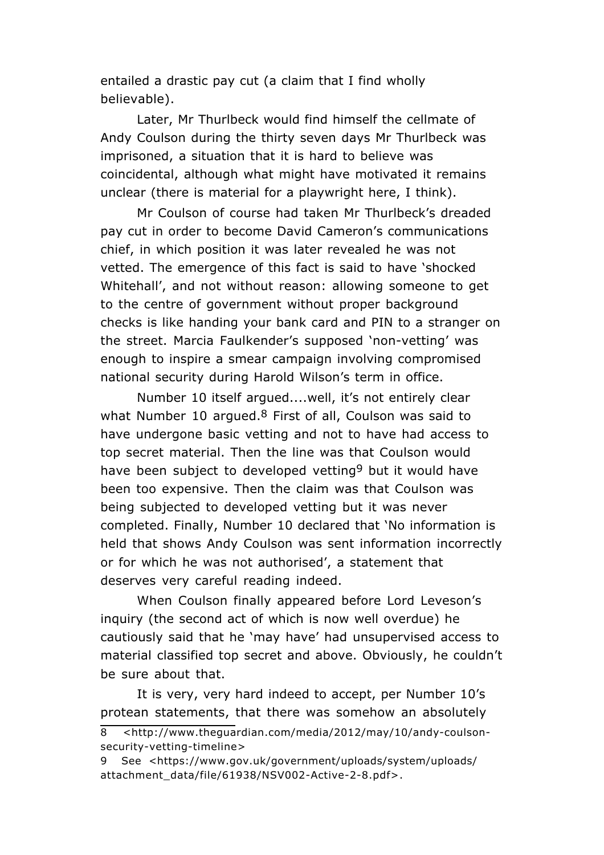entailed a drastic pay cut (a claim that I find wholly believable).

Later, Mr Thurlbeck would find himself the cellmate of Andy Coulson during the thirty seven days Mr Thurlbeck was imprisoned, a situation that it is hard to believe was coincidental, although what might have motivated it remains unclear (there is material for a playwright here, I think).

Mr Coulson of course had taken Mr Thurlbeck's dreaded pay cut in order to become David Cameron's communications chief, in which position it was later revealed he was not vetted. The emergence of this fact is said to have 'shocked Whitehall', and not without reason: allowing someone to get to the centre of government without proper background checks is like handing your bank card and PIN to a stranger on the street. Marcia Faulkender's supposed 'non-vetting' was enough to inspire a smear campaign involving compromised national security during Harold Wilson's term in office.

Number 10 itself argued....well, it's not entirely clear what Number 10 argued. $8$  First of all, Coulson was said to have undergone basic vetting and not to have had access to top secret material. Then the line was that Coulson would have been subject to developed vetting<sup>9</sup> but it would have been too expensive. Then the claim was that Coulson was being subjected to developed vetting but it was never completed. Finally, Number 10 declared that 'No information is held that shows Andy Coulson was sent information incorrectly or for which he was not authorised', a statement that deserves very careful reading indeed.

When Coulson finally appeared before Lord Leveson's inquiry (the second act of which is now well overdue) he cautiously said that he 'may have' had unsupervised access to material classified top secret and above. Obviously, he couldn't be sure about that.

It is very, very hard indeed to accept, per Number 10's protean statements, that there was somehow an absolutely

<sup>8 &</sup>lt;http://www.theguardian.com/media/2012/may/10/andy-coulsonsecurity-vetting-timeline>

<sup>9</sup> See <https://www.gov.uk/government/uploads/system/uploads/ attachment\_data/file/61938/NSV002-Active-2-8.pdf>.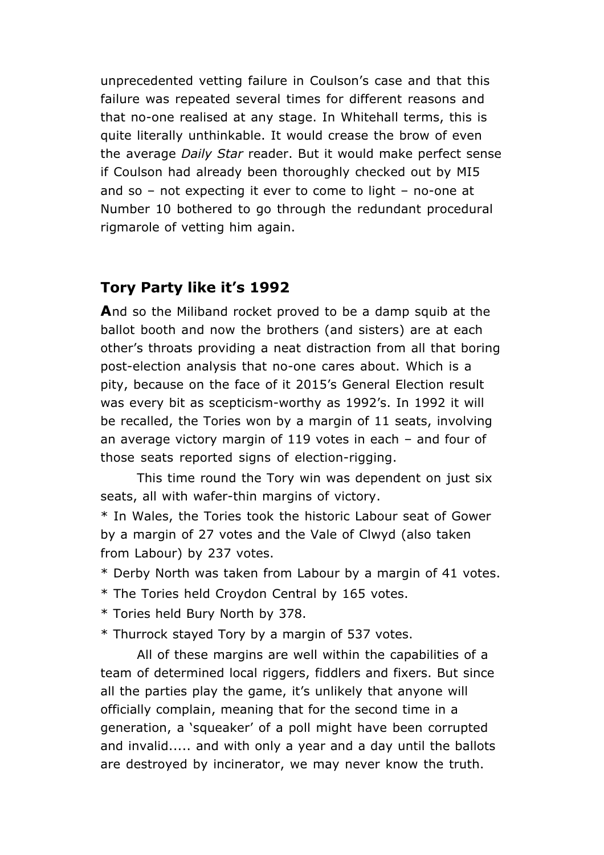unprecedented vetting failure in Coulson's case and that this failure was repeated several times for different reasons and that no-one realised at any stage. In Whitehall terms, this is quite literally unthinkable. It would crease the brow of even the average *Daily Star* reader. But it would make perfect sense if Coulson had already been thoroughly checked out by MI5 and so – not expecting it ever to come to light – no-one at Number 10 bothered to go through the redundant procedural rigmarole of vetting him again.

# **Tory Party like it's 1992**

**A**nd so the Miliband rocket proved to be a damp squib at the ballot booth and now the brothers (and sisters) are at each other's throats providing a neat distraction from all that boring post-election analysis that no-one cares about. Which is a pity, because on the face of it 2015's General Election result was every bit as scepticism-worthy as 1992's. In 1992 it will be recalled, the Tories won by a margin of 11 seats, involving an average victory margin of 119 votes in each – and four of those seats reported signs of election-rigging.

This time round the Tory win was dependent on just six seats, all with wafer-thin margins of victory.

\* In Wales, the Tories took the historic Labour seat of Gower by a margin of 27 votes and the Vale of Clwyd (also taken from Labour) by 237 votes.

\* Derby North was taken from Labour by a margin of 41 votes.

- \* The Tories held Croydon Central by 165 votes.
- \* Tories held Bury North by 378.

\* Thurrock stayed Tory by a margin of 537 votes.

All of these margins are well within the capabilities of a team of determined local riggers, fiddlers and fixers. But since all the parties play the game, it's unlikely that anyone will officially complain, meaning that for the second time in a generation, a 'squeaker' of a poll might have been corrupted and invalid..... and with only a year and a day until the ballots are destroyed by incinerator, we may never know the truth.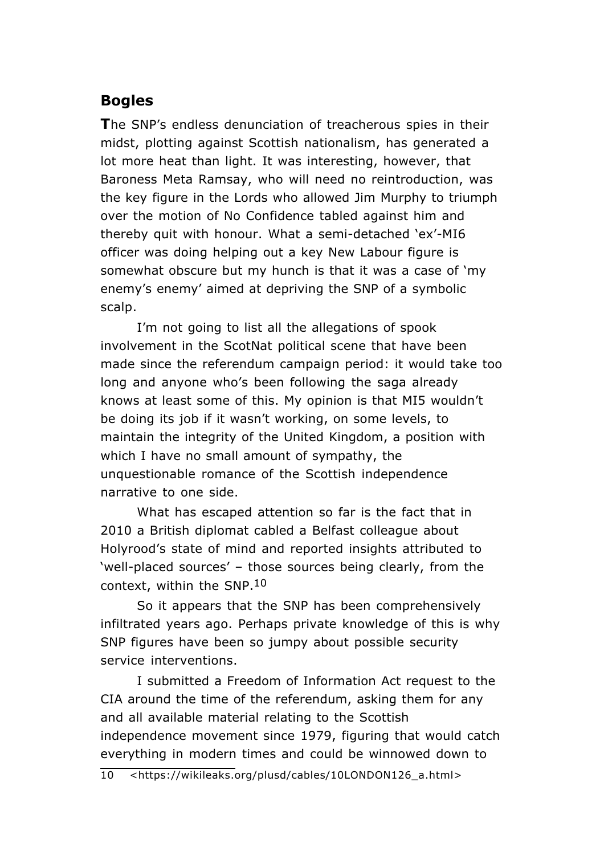# **Bogles**

**T**he SNP's endless denunciation of treacherous spies in their midst, plotting against Scottish nationalism, has generated a lot more heat than light. It was interesting, however, that Baroness Meta Ramsay, who will need no reintroduction, was the key figure in the Lords who allowed Jim Murphy to triumph over the motion of No Confidence tabled against him and thereby quit with honour. What a semi-detached 'ex'-MI6 officer was doing helping out a key New Labour figure is somewhat obscure but my hunch is that it was a case of 'my enemy's enemy' aimed at depriving the SNP of a symbolic scalp.

I'm not going to list all the allegations of spook involvement in the ScotNat political scene that have been made since the referendum campaign period: it would take too long and anyone who's been following the saga already knows at least some of this. My opinion is that MI5 wouldn't be doing its job if it wasn't working, on some levels, to maintain the integrity of the United Kingdom, a position with which I have no small amount of sympathy, the unquestionable romance of the Scottish independence narrative to one side.

What has escaped attention so far is the fact that in 2010 a British diplomat cabled a Belfast colleague about Holyrood's state of mind and reported insights attributed to 'well-placed sources' – those sources being clearly, from the context, within the SNP.10

So it appears that the SNP has been comprehensively infiltrated years ago. Perhaps private knowledge of this is why SNP figures have been so jumpy about possible security service interventions.

I submitted a Freedom of Information Act request to the CIA around the time of the referendum, asking them for any and all available material relating to the Scottish independence movement since 1979, figuring that would catch everything in modern times and could be winnowed down to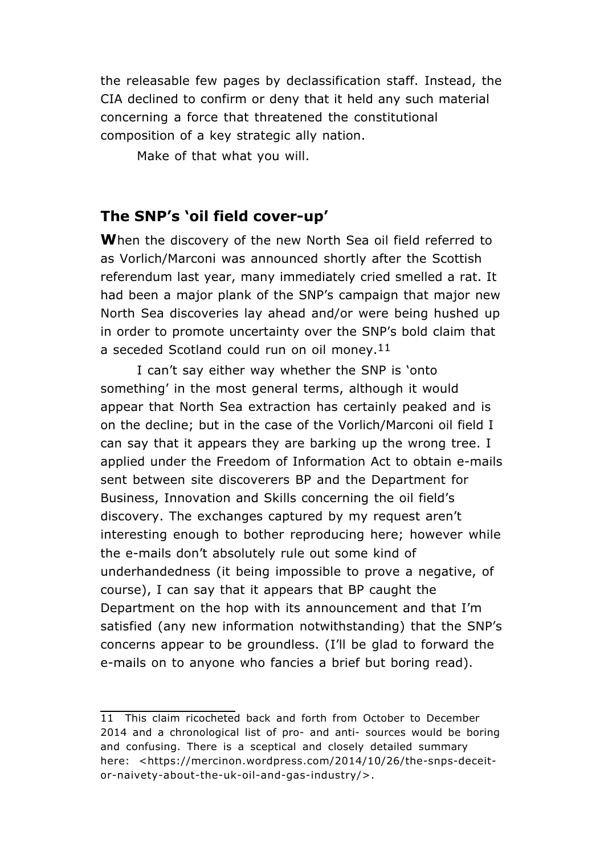the releasable few pages by declassification staff. Instead, the CIA declined to confirm or deny that it held any such material concerning a force that threatened the constitutional composition of a key strategic ally nation.

Make of that what you will.

#### **The SNP's 'oil field cover-up'**

**W**hen the discovery of the new North Sea oil field referred to as Vorlich/Marconi was announced shortly after the Scottish referendum last year, many immediately cried smelled a rat. It had been a major plank of the SNP's campaign that major new North Sea discoveries lay ahead and/or were being hushed up in order to promote uncertainty over the SNP's bold claim that a seceded Scotland could run on oil money.<sup>11</sup>

I can't say either way whether the SNP is 'onto something' in the most general terms, although it would appear that North Sea extraction has certainly peaked and is on the decline; but in the case of the Vorlich/Marconi oil field I can say that it appears they are barking up the wrong tree. I applied under the Freedom of Information Act to obtain e-mails sent between site discoverers BP and the Department for Business, Innovation and Skills concerning the oil field's discovery. The exchanges captured by my request aren't interesting enough to bother reproducing here; however while the e-mails don't absolutely rule out some kind of underhandedness (it being impossible to prove a negative, of course), I can say that it appears that BP caught the Department on the hop with its announcement and that I'm satisfied (any new information notwithstanding) that the SNP's concerns appear to be groundless. (I'll be glad to forward the e-mails on to anyone who fancies a brief but boring read).

<sup>11</sup> This claim ricocheted back and forth from October to December 2014 and a chronological list of pro- and anti- sources would be boring and confusing. There is a sceptical and closely detailed summary here: <https://mercinon.wordpress.com/2014/10/26/the-snps-deceitor-naivety-about-the-uk-oil-and-gas-industry/>.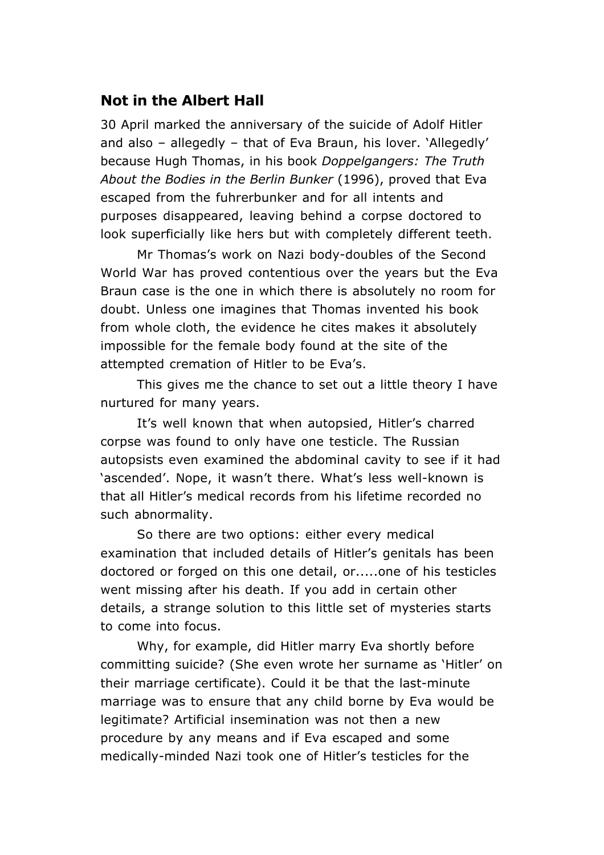### **Not in the Albert Hall**

30 April marked the anniversary of the suicide of Adolf Hitler and also – allegedly – that of Eva Braun, his lover. 'Allegedly' because Hugh Thomas, in his book *Doppelgangers: The Truth About the Bodies in the Berlin Bunker* (1996), proved that Eva escaped from the fuhrerbunker and for all intents and purposes disappeared, leaving behind a corpse doctored to look superficially like hers but with completely different teeth.

Mr Thomas's work on Nazi body-doubles of the Second World War has proved contentious over the years but the Eva Braun case is the one in which there is absolutely no room for doubt. Unless one imagines that Thomas invented his book from whole cloth, the evidence he cites makes it absolutely impossible for the female body found at the site of the attempted cremation of Hitler to be Eva's.

This gives me the chance to set out a little theory I have nurtured for many years.

It's well known that when autopsied, Hitler's charred corpse was found to only have one testicle. The Russian autopsists even examined the abdominal cavity to see if it had 'ascended'. Nope, it wasn't there. What's less well-known is that all Hitler's medical records from his lifetime recorded no such abnormality.

So there are two options: either every medical examination that included details of Hitler's genitals has been doctored or forged on this one detail, or.....one of his testicles went missing after his death. If you add in certain other details, a strange solution to this little set of mysteries starts to come into focus.

Why, for example, did Hitler marry Eva shortly before committing suicide? (She even wrote her surname as 'Hitler' on their marriage certificate). Could it be that the last-minute marriage was to ensure that any child borne by Eva would be legitimate? Artificial insemination was not then a new procedure by any means and if Eva escaped and some medically-minded Nazi took one of Hitler's testicles for the